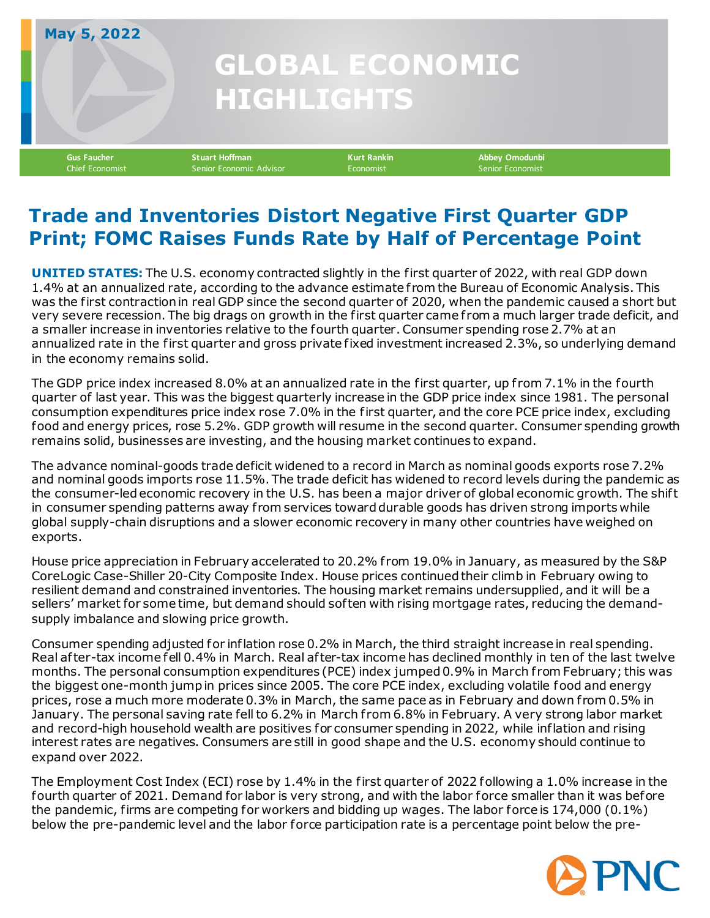## **GLOBAL ECONOMIC HIGHLIGHTS**

**May 5, 2022**

**Gus Faucher Stuart Hoffman Kurt Rankin Abbey Omodunbi** Senior Economic Advisor **Economist** 

## **Trade and Inventories Distort Negative First Quarter GDP Print; FOMC Raises Funds Rate by Half of Percentage Point**

**UNITED STATES:** The U.S. economy contracted slightly in the first quarter of 2022, with real GDP down 1.4% at an annualized rate, according to the advance estimate f rom the Bureau of Economic Analysis. This was the first contraction in real GDP since the second quarter of 2020, when the pandemic caused a short but very severe recession. The big drags on growth in the first quarter came from a much larger trade deficit, and a smaller increase in inventories relative to the fourth quarter. Consumer spending rose 2.7% at an annualized rate in the first quarter and gross private fixed investment increased 2.3%, so underlying demand in the economy remains solid.

The GDP price index increased 8.0% at an annualized rate in the first quarter, up from 7.1% in the fourth quarter of last year. This was the biggest quarterly increase in the GDP price index since 1981. The personal consumption expenditures price index rose 7.0% in the first quarter, and the core PCE price index, excluding food and energy prices, rose 5.2%. GDP growth will resume in the second quarter. Consumer spending growth remains solid, businesses are investing, and the housing market continues to expand.

The advance nominal-goods trade deficit widened to a record in March as nominal goods exports rose 7.2% and nominal goods imports rose 11.5%. The trade deficit has widened to record levels during the pandemic as the consumer-led economic recovery in the U.S. has been a major driver of global economic growth. The shift in consumer spending patterns away f rom services toward durable goods has driven strong imports while global supply-chain disruptions and a slower economic recovery in many other countries have weighed on exports.

House price appreciation in February accelerated to 20.2% f rom 19.0% in January, as measured by the S&P CoreLogic Case-Shiller 20-City Composite Index. House prices continued their climb in February owing to resilient demand and constrained inventories. The housing market remains undersupplied, and it will be a sellers' market for some time, but demand should sof ten with rising mortgage rates, reducing the demandsupply imbalance and slowing price growth.

Consumer spending adjusted for inflation rose 0.2% in March, the third straight increase in real spending. Real after-tax income fell 0.4% in March. Real after-tax income has declined monthly in ten of the last twelve months. The personal consumption expenditures (PCE) index jumped 0.9% in March from February; this was the biggest one-month jump in prices since 2005. The core PCE index, excluding volatile food and energy prices, rose a much more moderate 0.3% in March, the same pace as in February and down from 0.5% in January. The personal saving rate fell to 6.2% in March from 6.8% in February. A very strong labor market and record-high household wealth are positives for consumer spending in 2022, while inflation and rising interest rates are negatives. Consumers are still in good shape and the U.S. economy should continue to expand over 2022.

The Employment Cost Index (ECI) rose by 1.4% in the first quarter of 2022 following a 1.0% increase in the fourth quarter of 2021. Demand for labor is very strong, and with the labor force smaller than it was before the pandemic, firms are competing for workers and bidding up wages. The labor force is 174,000 (0.1%) below the pre-pandemic level and the labor force participation rate is a percentage point below the pre-

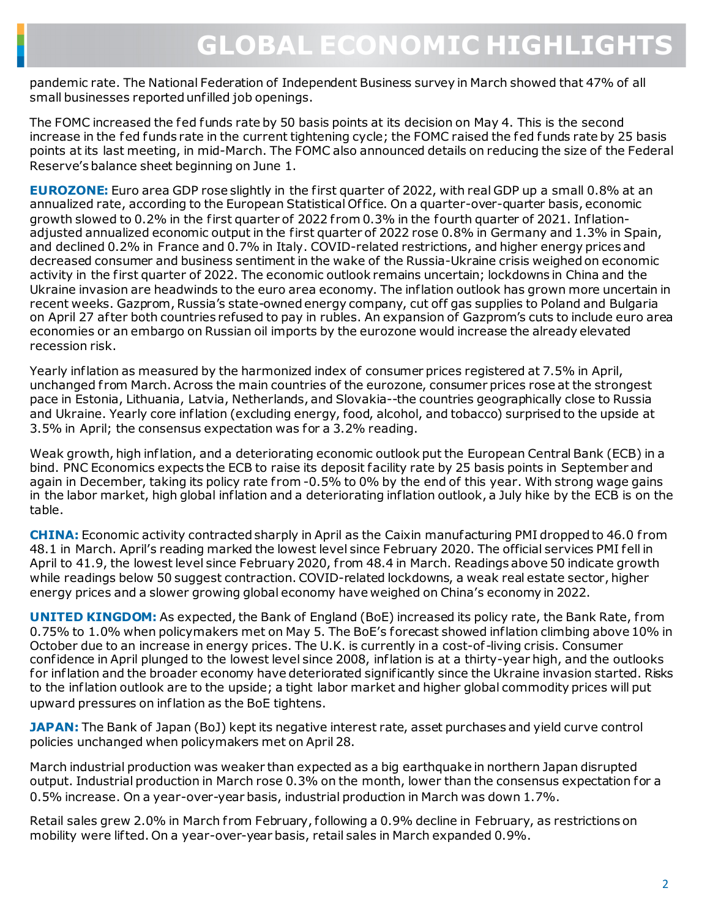## **GLOBAL ECONOMIC HIGHLIGHTS**

pandemic rate. The National Federation of Independent Business survey in March showed that 47% of all small businesses reported unfilled job openings.

The FOMC increased the fed funds rate by 50 basis points at its decision on May 4. This is the second increase in the fed funds rate in the current tightening cycle; the FOMC raised the fed funds rate by 25 basis points at its last meeting, in mid-March. The FOMC also announced details on reducing the size of the Federal Reserve's balance sheet beginning on June 1.

**EUROZONE:** Euro area GDP rose slightly in the first quarter of 2022, with real GDP up a small 0.8% at an annualized rate, according to the European Statistical Of fice. On a quarter-over-quarter basis, economic growth slowed to 0.2% in the first quarter of 2022 f rom 0.3% in the fourth quarter of 2021. Inflationadjusted annualized economic output in the first quarter of 2022 rose 0.8% in Germany and 1.3% in Spain, and declined 0.2% in France and 0.7% in Italy. COVID-related restrictions, and higher energy prices and decreased consumer and business sentiment in the wake of the Russia-Ukraine crisis weighed on economic activity in the first quarter of 2022. The economic outlook remains uncertain; lockdowns in China and the Ukraine invasion are headwinds to the euro area economy. The inflation outlook has grown more uncertain in recent weeks. Gazprom, Russia's state-owned energy company, cut off gas supplies to Poland and Bulgaria on April 27 af ter both countries refused to pay in rubles. An expansion of Gazprom's cuts to include euro area economies or an embargo on Russian oil imports by the eurozone would increase the already elevated recession risk.

Yearly inflation as measured by the harmonized index of consumer prices registered at 7.5% in April, unchanged f rom March. Across the main countries of the eurozone, consumer prices rose at the strongest pace in Estonia, Lithuania, Latvia, Netherlands, and Slovakia--the countries geographically close to Russia and Ukraine. Yearly core inflation (excluding energy, food, alcohol, and tobacco) surprised to the upside at 3.5% in April; the consensus expectation was for a 3.2% reading.

Weak growth, high inflation, and a deteriorating economic outlook put the European Central Bank (ECB) in a bind. PNC Economics expects the ECB to raise its deposit facility rate by 25 basis points in September and again in December, taking its policy rate from -0.5% to 0% by the end of this year. With strong wage gains in the labor market, high global inflation and a deteriorating inflation outlook, a July hike by the ECB is on the table.

**CHINA:** Economic activity contracted sharply in April as the Caixin manufacturing PMI dropped to 46.0 f rom 48.1 in March. April's reading marked the lowest level since February 2020. The official services PMI fell in April to 41.9, the lowest level since February 2020, f rom 48.4 in March. Readings above 50 indicate growth while readings below 50 suggest contraction. COVID-related lockdowns, a weak real estate sector, higher energy prices and a slower growing global economy have weighed on China's economy in 2022.

**UNITED KINGDOM:** As expected, the Bank of England (BoE) increased its policy rate, the Bank Rate, f rom 0.75% to 1.0% when policymakers met on May 5. The BoE's forecast showed inflation climbing above 10% in October due to an increase in energy prices. The U.K. is currently in a cost-of-living crisis. Consumer confidence in April plunged to the lowest level since 2008, inflation is at a thirty-year high, and the outlooks for inflation and the broader economy have deteriorated significantly since the Ukraine invasion started. Risks to the inflation outlook are to the upside; a tight labor market and higher global commodity prices will put upward pressures on inflation as the BoE tightens.

**JAPAN:** The Bank of Japan (BoJ) kept its negative interest rate, asset purchases and yield curve control policies unchanged when policymakers met on April 28.

March industrial production was weaker than expected as a big earthquake in northern Japan disrupted output. Industrial production in March rose 0.3% on the month, lower than the consensus expectation for a 0.5% increase. On a year-over-year basis, industrial production in March was down 1.7%.

Retail sales grew 2.0% in March from February, following a 0.9% decline in February, as restrictions on mobility were lif ted. On a year-over-year basis, retail sales in March expanded 0.9%.